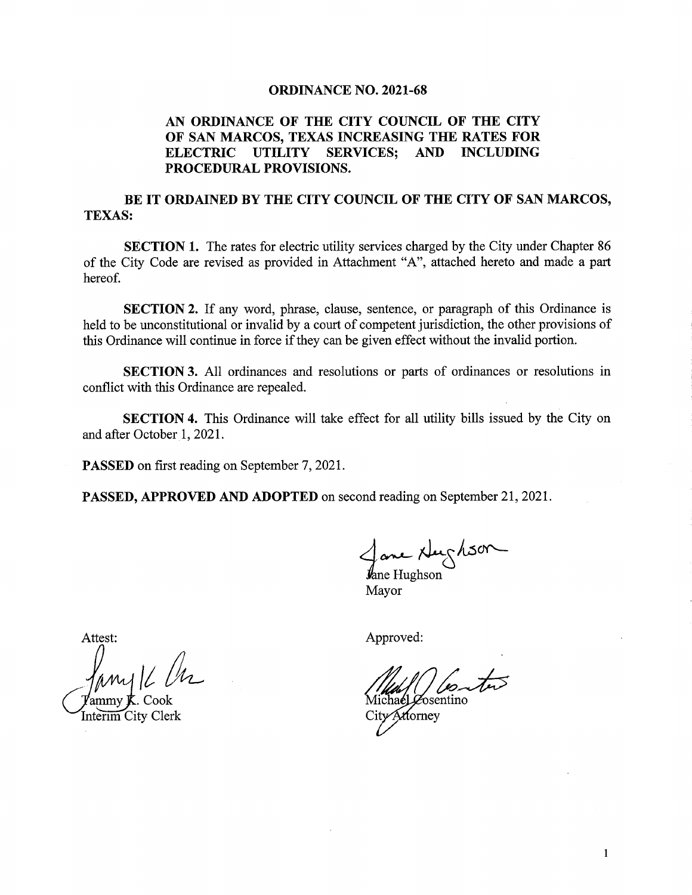#### ORDINANCE NO. 2021-68

## AN ORDINANCE OF THE CITY COUNCIL OF THE CITY OF SAN MARCOS, TEXAS INCREASING THE RATES FOR ELECTRIC UTILITY SERVICES; AND INCLUDING PROCEDURAL PROVISIONS.

## BE IT ORDAINED BY THE CITY COUNCIL OF THE CITY OF SAN MARCOS, TEXAS:

SECTION 1. The rates for electric utility services charged by the City under Chapter 86 of the City Code are revised as provided in Attachment " A", attached hereto and made <sup>a</sup> part hereof.

SECTION 2. If any word, phrase, clause, sentence, or paragraph of this Ordinance is held to be unconstitutional or invalid by <sup>a</sup> court of competent jurisdiction, the other provisions of this Ordinance will continue in force if they can be given effect without the invalid portion.

SECTION 3. All ordinances and resolutions or parts of ordinances or resolutions in conflict with this Ordinance are repealed.

SECTION 4. This Ordinance will take effect for all utility bills issued by the City on and after October 1, 2021.

PASSED on first reading on September 7, 2021.

PASSED, APPROVED AND ADOPTED on second reading on September 21, 2021.

xtey

e Hughson Mayor

Attest:

Attest:<br>Jamy 16 M my **J**. Cook

Interim City Clerk

Approved:

**osentino** City Attorney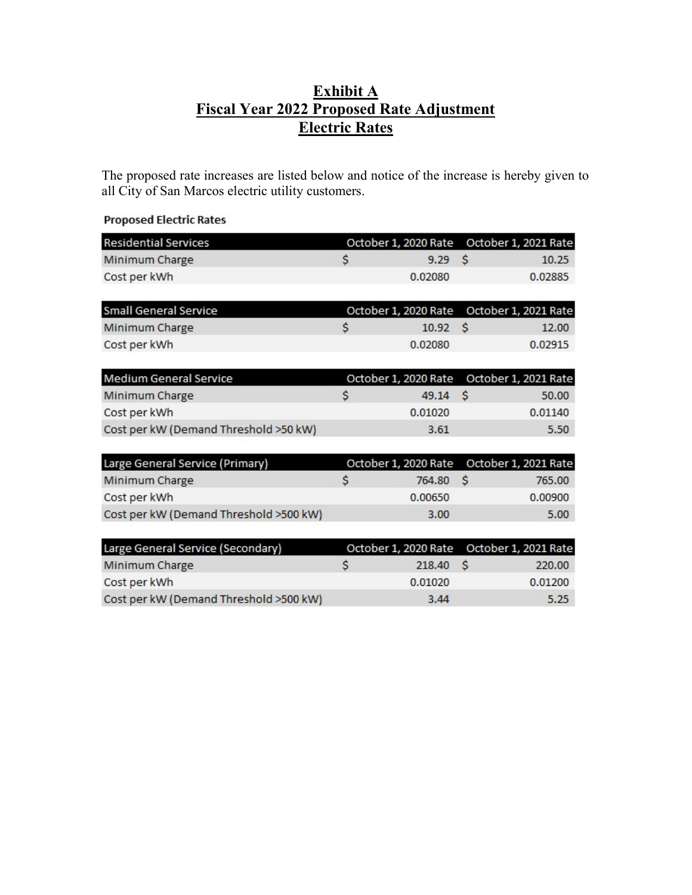# Exhibit A Fiscal Year 2022 Proposed Rate Adjustment Electric Rates

The proposed rate increases are listed below and notice of the increase is hereby given to all City of San Marcos electric utility customers.

#### **Proposed Electric Rates**

| <b>Residential Services</b> |  | October 1, 2020 Rate October 1, 2021 Rate |  |         |
|-----------------------------|--|-------------------------------------------|--|---------|
| Minimum Charge              |  | 9.29 S                                    |  | 10.25   |
| Cost per kWh                |  | 0.02080                                   |  | 0.02885 |

| Small General Service |         | October 1, 2020 Rate October 1, 2021 Rate |         |  |
|-----------------------|---------|-------------------------------------------|---------|--|
| Minimum Charge        | 10.92 S |                                           | 12.00   |  |
| Cost per kWh          | 0.02080 |                                           | 0.02915 |  |

| Medium General Service                |   |         | October 1, 2020 Rate October 1, 2021 Rate |         |
|---------------------------------------|---|---------|-------------------------------------------|---------|
| Minimum Charge                        | S | 49.14 S |                                           | 50.00   |
| Cost per kWh                          |   | 0.01020 |                                           | 0.01140 |
| Cost per kW (Demand Threshold >50 kW) |   | 3.61    |                                           | 5.50    |

| Large General Service (Primary)        | October 1, 2020 Rate October 1, 2021 Rate |         |
|----------------------------------------|-------------------------------------------|---------|
| Minimum Charge                         | 764.80 S                                  | 765.00  |
| Cost per kWh                           | 0.00650                                   | 0.00900 |
| Cost per kW (Demand Threshold >500 kW) | 3.00                                      | 5.00    |

| Large General Service (Secondary)      |   | October 1, 2020 Rate October 1, 2021 Rate |         |
|----------------------------------------|---|-------------------------------------------|---------|
| Minimum Charge                         | S | 218.40 S                                  | 220.00  |
| Cost per kWh                           |   | 0.01020                                   | 0.01200 |
| Cost per kW (Demand Threshold >500 kW) |   | 3.44                                      | 5.25    |